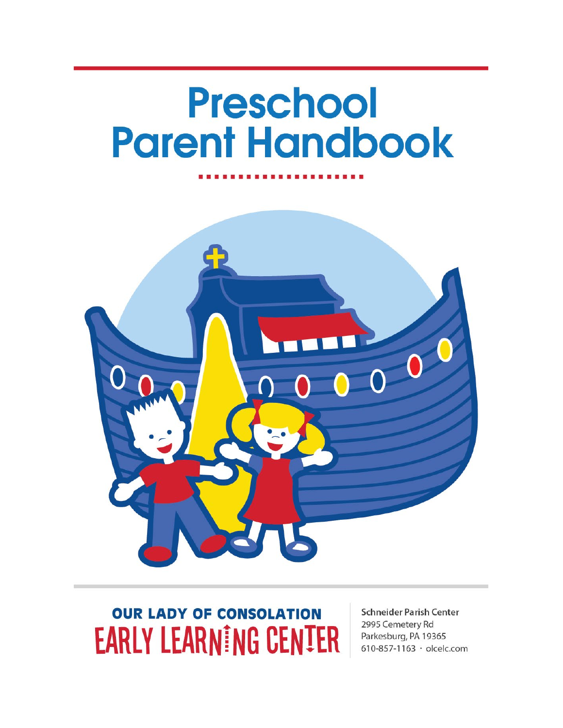# **Preschool Parent Handbook**



## **OUR LADY OF CONSOLATION EARLY LEARNING CENTER**

**Schneider Parish Center** 2995 Cemetery Rd Parkesburg, PA 19365 610-857-1163 · olcelc.com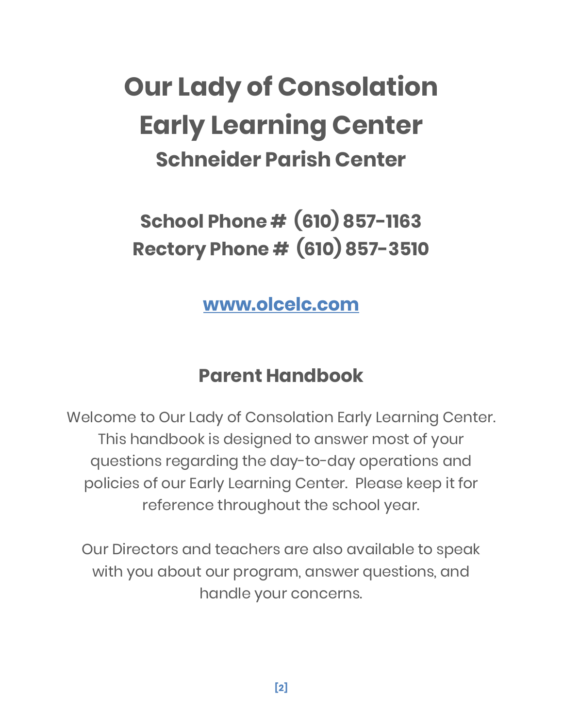## **Our Lady of Consolation Early Learning Center Schneider Parish Center**

**School Phone # (610) 857-1163 Rectory Phone # (610) 857-3510**

**[www.olcelc.com](http://www.olcelc.com/)**

## **Parent Handbook**

Welcome to Our Lady of Consolation Early Learning Center. This handbook is designed to answer most of your questions regarding the day-to-day operations and policies of our Early Learning Center. Please keep it for reference throughout the school year.

Our Directors and teachers are also available to speak with you about our program, answer questions, and handle your concerns.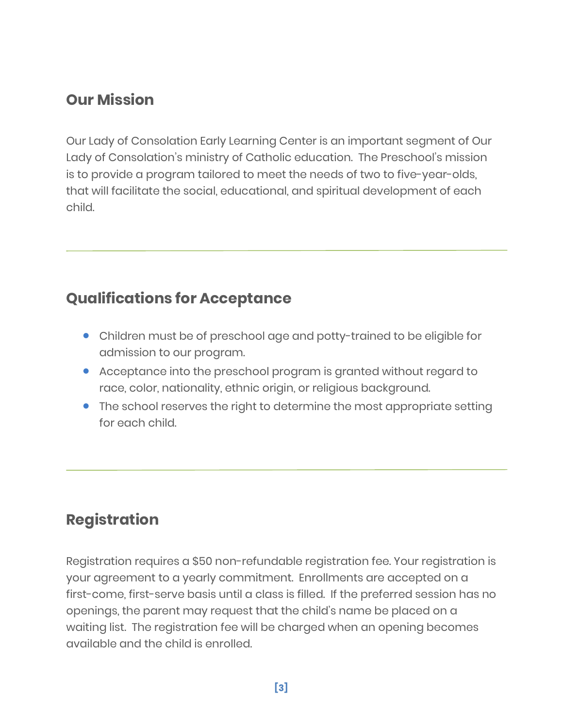## **Our Mission**

Our Lady of Consolation Early Learning Center is an important segment of Our Lady of Consolation's ministry of Catholic education. The Preschool's mission is to provide a program tailored to meet the needs of two to five-year-olds, that will facilitate the social, educational, and spiritual development of each child.

## **Qualifications for Acceptance**

- Children must be of preschool age and potty-trained to be eligible for admission to our program.
- Acceptance into the preschool program is granted without regard to race, color, nationality, ethnic origin, or religious background.
- The school reserves the right to determine the most appropriate setting for each child.

## **Registration**

Registration requires a \$50 non-refundable registration fee. Your registration is your agreement to a yearly commitment. Enrollments are accepted on a first-come, first-serve basis until a class is filled. If the preferred session has no openings, the parent may request that the child's name be placed on a waiting list. The registration fee will be charged when an opening becomes available and the child is enrolled.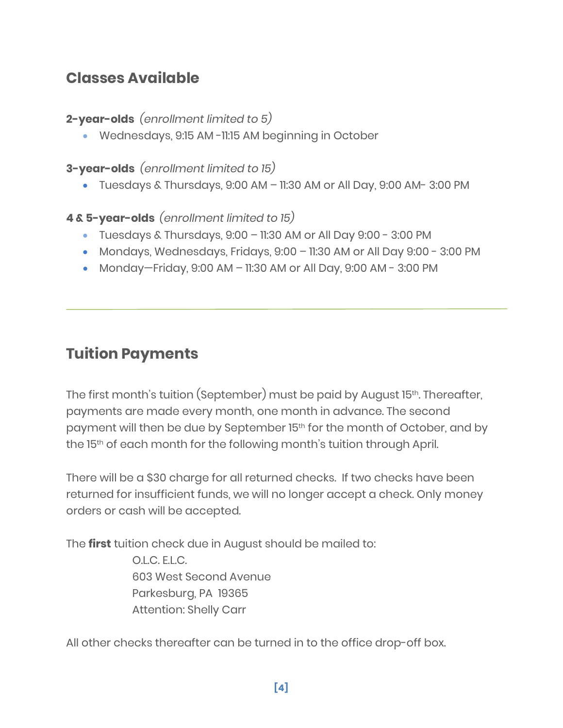## **Classes Available**

#### **2-year-olds** *(enrollment limited to 5)*

• Wednesdays, 9:15 AM -11:15 AM beginning in October

#### **3-year-olds** *(enrollment limited to 15)*

• Tuesdays & Thursdays, 9:00 AM – 11:30 AM or All Day, 9:00 AM- 3:00 PM

#### **4 & 5-year-olds** *(enrollment limited to 15)*

- Tuesdays & Thursdays,  $9:00 11:30$  AM or All Day  $9:00 3:00$  PM
- Mondays, Wednesdays, Fridays, 9:00 11:30 AM or All Day 9:00 3:00 PM
- Monday—Friday, 9:00 AM 11:30 AM or All Day, 9:00 AM 3:00 PM

## **Tuition Payments**

The first month's tuition (September) must be paid by August 15<sup>th</sup>. Thereafter, payments are made every month, one month in advance. The second payment will then be due by September 15<sup>th</sup> for the month of October, and by the 15<sup>th</sup> of each month for the following month's tuition through April.

There will be a \$30 charge for all returned checks. If two checks have been returned for insufficient funds, we will no longer accept a check. Only money orders or cash will be accepted.

The **first** tuition check due in August should be mailed to:

O.L.C. E.L.C. 603 West Second Avenue Parkesburg, PA 19365 Attention: Shelly Carr

All other checks thereafter can be turned in to the office drop-off box.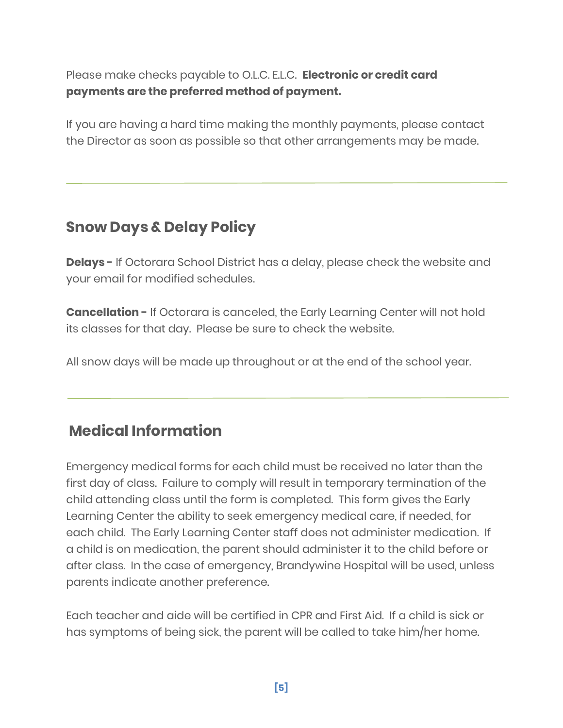Please make checks payable to O.L.C. E.L.C. **Electronic or credit card payments are the preferred method of payment.**

If you are having a hard time making the monthly payments, please contact the Director as soon as possible so that other arrangements may be made.

## **Snow Days & Delay Policy**

**Delays -** If Octorara School District has a delay, please check the website and your email for modified schedules.

**Cancellation -** If Octorara is canceled, the Early Learning Center will not hold its classes for that day. Please be sure to check the website.

All snow days will be made up throughout or at the end of the school year.

## **Medical Information**

Emergency medical forms for each child must be received no later than the first day of class. Failure to comply will result in temporary termination of the child attending class until the form is completed. This form gives the Early Learning Center the ability to seek emergency medical care, if needed, for each child. The Early Learning Center staff does not administer medication. If a child is on medication, the parent should administer it to the child before or after class. In the case of emergency, Brandywine Hospital will be used, unless parents indicate another preference.

Each teacher and aide will be certified in CPR and First Aid. If a child is sick or has symptoms of being sick, the parent will be called to take him/her home.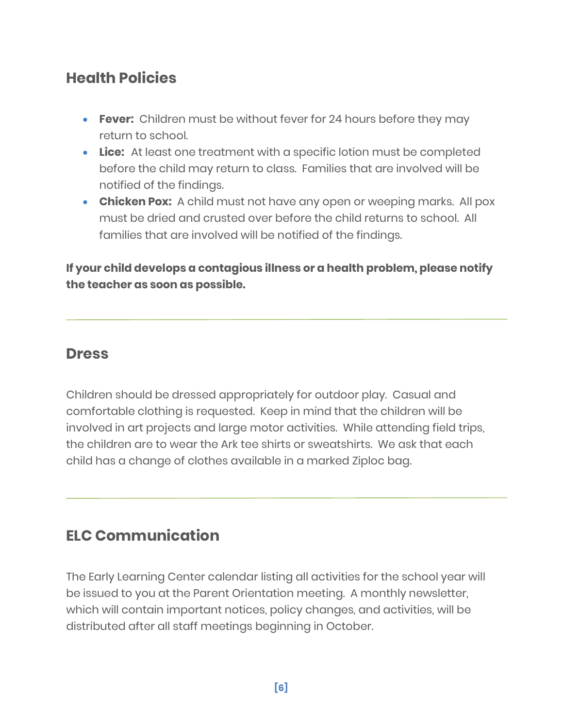## **Health Policies**

- **Fever:** Children must be without fever for 24 hours before they may return to school.
- **Lice:** At least one treatment with a specific lotion must be completed before the child may return to class. Families that are involved will be notified of the findings.
- **Chicken Pox:** A child must not have any open or weeping marks. All pox must be dried and crusted over before the child returns to school. All families that are involved will be notified of the findings.

#### **If your child develops a contagious illness or a health problem, please notify the teacher as soon as possible.**

#### **Dress**

Children should be dressed appropriately for outdoor play. Casual and comfortable clothing is requested. Keep in mind that the children will be involved in art projects and large motor activities. While attending field trips, the children are to wear the Ark tee shirts or sweatshirts. We ask that each child has a change of clothes available in a marked Ziploc bag.

## **ELC Communication**

The Early Learning Center calendar listing all activities for the school year will be issued to you at the Parent Orientation meeting. A monthly newsletter, which will contain important notices, policy changes, and activities, will be distributed after all staff meetings beginning in October.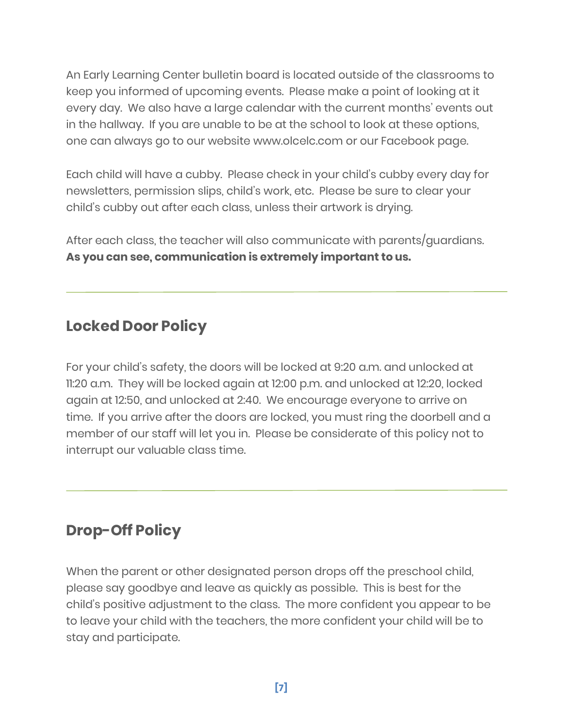An Early Learning Center bulletin board is located outside of the classrooms to keep you informed of upcoming events. Please make a point of looking at it every day. We also have a large calendar with the current months' events out in the hallway. If you are unable to be at the school to look at these options, one can always go to our website [www.olcelc.com](http://www.olcelc.com/) or our Facebook page.

Each child will have a cubby. Please check in your child's cubby every day for newsletters, permission slips, child's work, etc. Please be sure to clear your child's cubby out after each class, unless their artwork is drying.

After each class, the teacher will also communicate with parents/guardians. **As you can see, communication is extremely important to us.**

## **Locked Door Policy**

For your child's safety, the doors will be locked at 9:20 a.m. and unlocked at 11:20 a.m. They will be locked again at 12:00 p.m. and unlocked at 12:20, locked again at 12:50, and unlocked at 2:40. We encourage everyone to arrive on time. If you arrive after the doors are locked, you must ring the doorbell and a member of our staff will let you in. Please be considerate of this policy not to interrupt our valuable class time.

## **Drop-Off Policy**

When the parent or other designated person drops off the preschool child, please say goodbye and leave as quickly as possible. This is best for the child's positive adjustment to the class. The more confident you appear to be to leave your child with the teachers, the more confident your child will be to stay and participate.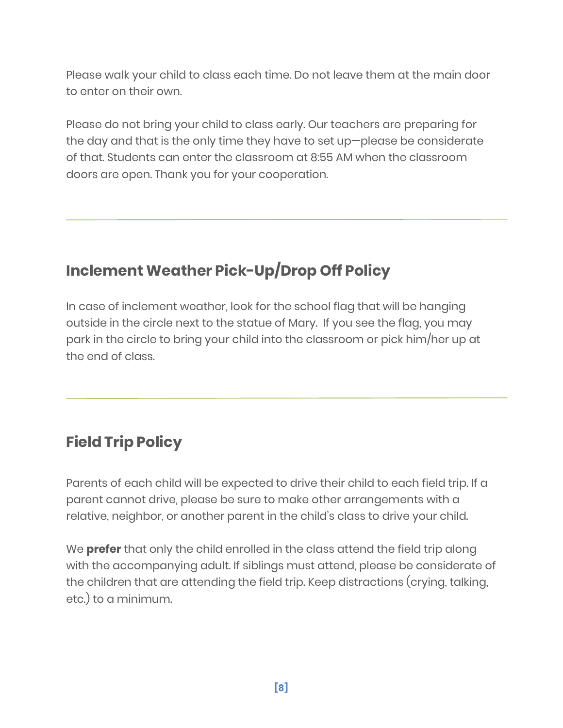Please walk your child to class each time. Do not leave them at the main door to enter on their own.

Please do not bring your child to class early. Our teachers are preparing for the day and that is the only time they have to set up—please be considerate of that. Students can enter the classroom at 8:55 AM when the classroom doors are open. Thank you for your cooperation.

## **Inclement Weather Pick-Up/Drop Off Policy**

In case of inclement weather, look for the school flag that will be hanging outside in the circle next to the statue of Mary. If you see the flag, you may park in the circle to bring your child into the classroom or pick him/her up at the end of class.

## **Field Trip Policy**

Parents of each child will be expected to drive their child to each field trip. If a parent cannot drive, please be sure to make other arrangements with a relative, neighbor, or another parent in the child's class to drive your child.

We **prefer** that only the child enrolled in the class attend the field trip along with the accompanying adult. If siblings must attend, please be considerate of the children that are attending the field trip. Keep distractions (crying, talking, etc.) to a minimum.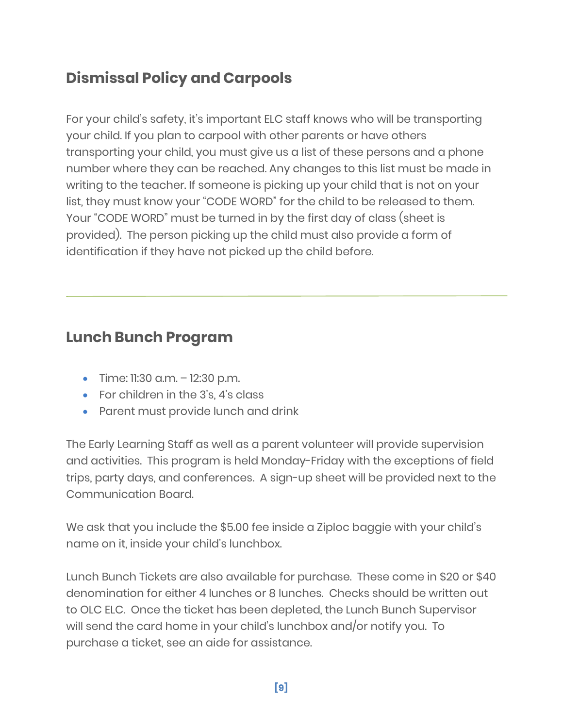## **Dismissal Policy and Carpools**

For your child's safety, it's important ELC staff knows who will be transporting your child. If you plan to carpool with other parents or have others transporting your child, you must give us a list of these persons and a phone number where they can be reached. Any changes to this list must be made in writing to the teacher. If someone is picking up your child that is not on your list, they must know your "CODE WORD" for the child to be released to them. Your "CODE WORD" must be turned in by the first day of class (sheet is provided). The person picking up the child must also provide a form of identification if they have not picked up the child before.

## **Lunch Bunch Program**

- Time: 11:30 a.m. 12:30 p.m.
- For children in the 3's, 4's class
- Parent must provide lunch and drink

The Early Learning Staff as well as a parent volunteer will provide supervision and activities. This program is held Monday-Friday with the exceptions of field trips, party days, and conferences. A sign-up sheet will be provided next to the Communication Board.

We ask that you include the \$5.00 fee inside a Ziploc baggie with your child's name on it, inside your child's lunchbox.

Lunch Bunch Tickets are also available for purchase. These come in \$20 or \$40 denomination for either 4 lunches or 8 lunches. Checks should be written out to OLC ELC. Once the ticket has been depleted, the Lunch Bunch Supervisor will send the card home in your child's lunchbox and/or notify you. To purchase a ticket, see an aide for assistance.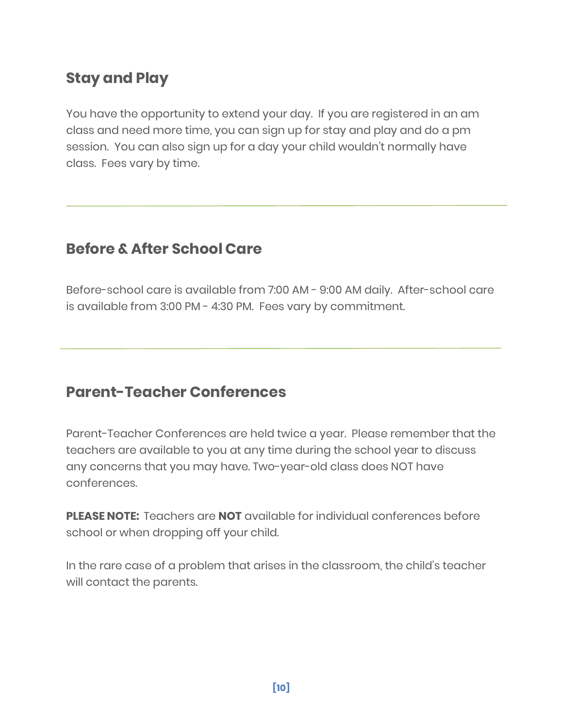## **Stay and Play**

You have the opportunity to extend your day. If you are registered in an am class and need more time, you can sign up for stay and play and do a pm session. You can also sign up for a day your child wouldn't normally have class. Fees vary by time.

### **Before & After School Care**

Before-school care is available from 7:00 AM - 9:00 AM daily. After-school care is available from 3:00 PM - 4:30 PM. Fees vary by commitment.

#### **Parent-Teacher Conferences**

Parent-Teacher Conferences are held twice a year. Please remember that the teachers are available to you at any time during the school year to discuss any concerns that you may have. Two-year-old class does NOT have conferences.

**PLEASE NOTE:** Teachers are **NOT** available for individual conferences before school or when dropping off your child.

In the rare case of a problem that arises in the classroom, the child's teacher will contact the parents.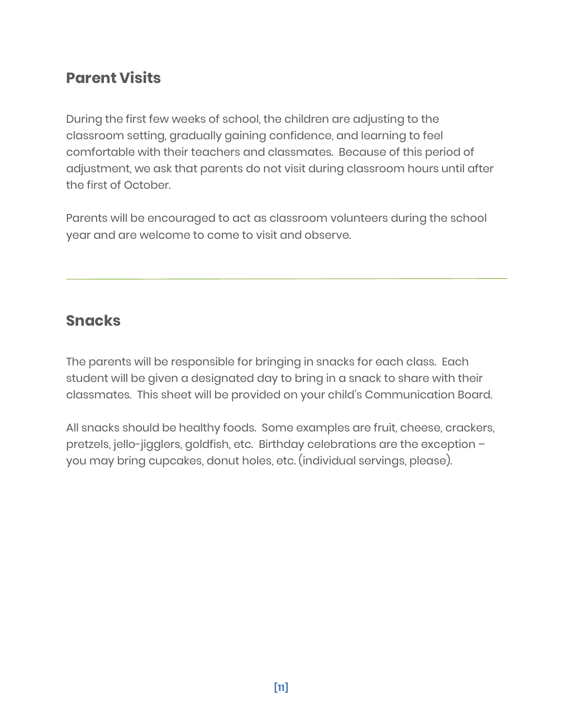## **Parent Visits**

During the first few weeks of school, the children are adjusting to the classroom setting, gradually gaining confidence, and learning to feel comfortable with their teachers and classmates. Because of this period of adjustment, we ask that parents do not visit during classroom hours until after the first of October.

Parents will be encouraged to act as classroom volunteers during the school year and are welcome to come to visit and observe.

### **Snacks**

The parents will be responsible for bringing in snacks for each class. Each student will be given a designated day to bring in a snack to share with their classmates. This sheet will be provided on your child's Communication Board.

All snacks should be healthy foods. Some examples are fruit, cheese, crackers, pretzels, jello-jigglers, goldfish, etc. Birthday celebrations are the exception – you may bring cupcakes, donut holes, etc. (individual servings, please).